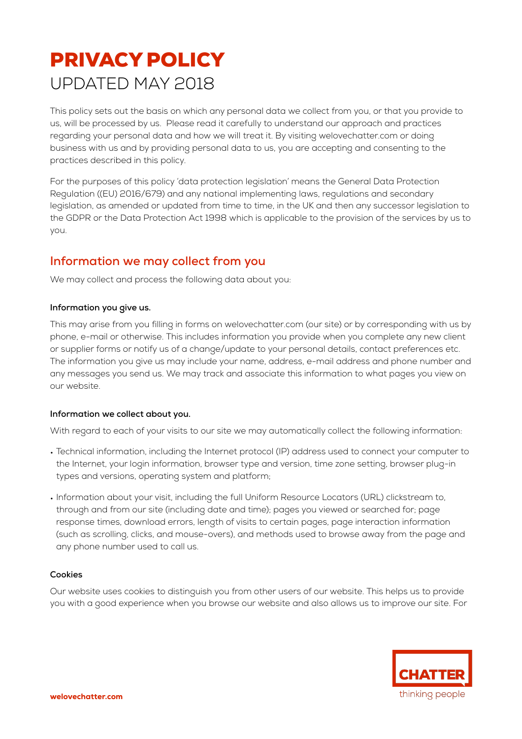# PRIVACY POLICY UPDATED MAY 2018

This policy sets out the basis on which any personal data we collect from you, or that you provide to us, will be processed by us. Please read it carefully to understand our approach and practices regarding your personal data and how we will treat it. By visiting welovechatter.com or doing business with us and by providing personal data to us, you are accepting and consenting to the practices described in this policy.

For the purposes of this policy 'data protection legislation' means the General Data Protection Regulation ((EU) 2016/679) and any national implementing laws, regulations and secondary legislation, as amended or updated from time to time, in the UK and then any successor legislation to the GDPR or the Data Protection Act 1998 which is applicable to the provision of the services by us to you.

# **Information we may collect from you**

We may collect and process the following data about you:

## **Information you give us.**

This may arise from you filling in forms on welovechatter.com (our site) or by corresponding with us by phone, e-mail or otherwise. This includes information you provide when you complete any new client or supplier forms or notify us of a change/update to your personal details, contact preferences etc. The information you give us may include your name, address, e-mail address and phone number and any messages you send us. We may track and associate this information to what pages you view on our website.

### **Information we collect about you.**

With regard to each of your visits to our site we may automatically collect the following information:

- Technical information, including the Internet protocol (IP) address used to connect your computer to the Internet, your login information, browser type and version, time zone setting, browser plug-in types and versions, operating system and platform;
- Information about your visit, including the full Uniform Resource Locators (URL) clickstream to, through and from our site (including date and time); pages you viewed or searched for; page response times, download errors, length of visits to certain pages, page interaction information (such as scrolling, clicks, and mouse-overs), and methods used to browse away from the page and any phone number used to call us.

## **Cookies**

Our website uses cookies to distinguish you from other users of our website. This helps us to provide you with a good experience when you browse our website and also allows us to improve our site. For

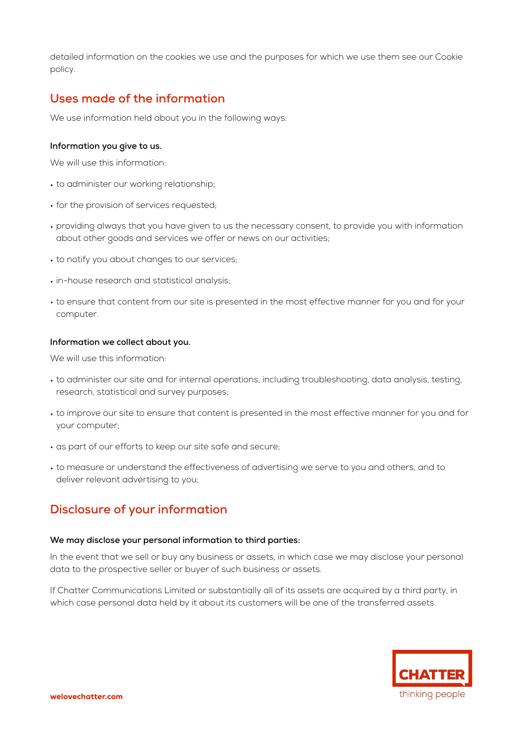detailed information on the cookies we use and the purposes for which we use them see our Cookie policy.

# **Uses made of the information**

We use information held about you in the following ways:

#### **Information you give to us.**

We will use this information:

- to administer our working relationship;
- for the provision of services requested;
- providing always that you have given to us the necessary consent, to provide you with information about other goods and services we offer or news on our activities;
- to notify you about changes to our services;
- in-house research and statistical analysis;
- to ensure that content from our site is presented in the most effective manner for you and for your computer.

#### **Information we collect about you.**

We will use this information:

- to administer our site and for internal operations, including troubleshooting, data analysis, testing, research, statistical and survey purposes;
- to improve our site to ensure that content is presented in the most effective manner for you and for your computer;
- as part of our efforts to keep our site safe and secure;
- to measure or understand the effectiveness of advertising we serve to you and others, and to deliver relevant advertising to you;

# **Disclosure of your information**

#### **We may disclose your personal information to third parties:**

In the event that we sell or buy any business or assets, in which case we may disclose your personal data to the prospective seller or buyer of such business or assets.

If Chatter Communications Limited or substantially all of its assets are acquired by a third party, in which case personal data held by it about its customers will be one of the transferred assets.

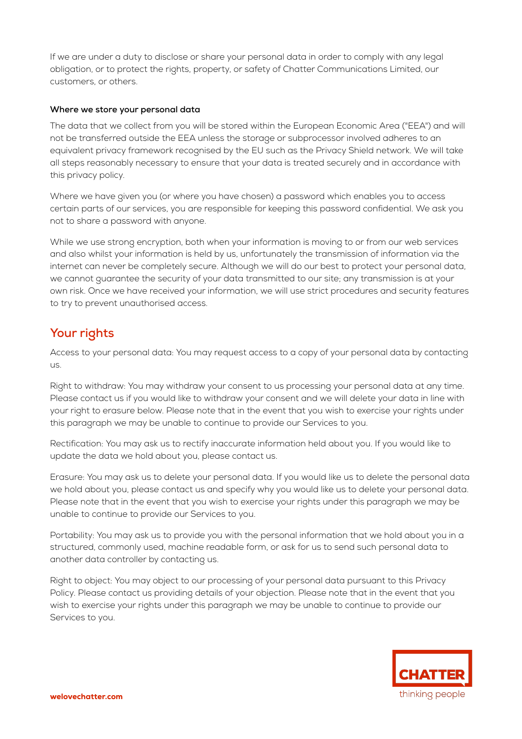If we are under a duty to disclose or share your personal data in order to comply with any legal obligation, or to protect the rights, property, or safety of Chatter Communications Limited, our customers, or others.

#### **Where we store your personal data**

The data that we collect from you will be stored within the European Economic Area ("EEA") and will not be transferred outside the EEA unless the storage or subprocessor involved adheres to an equivalent privacy framework recognised by the EU such as the Privacy Shield network. We will take all steps reasonably necessary to ensure that your data is treated securely and in accordance with this privacy policy.

Where we have given you (or where you have chosen) a password which enables you to access certain parts of our services, you are responsible for keeping this password confidential. We ask you not to share a password with anyone.

While we use strong encryption, both when your information is moving to or from our web services and also whilst your information is held by us, unfortunately the transmission of information via the internet can never be completely secure. Although we will do our best to protect your personal data, we cannot guarantee the security of your data transmitted to our site; any transmission is at your own risk. Once we have received your information, we will use strict procedures and security features to try to prevent unauthorised access.

# **Your rights**

Access to your personal data: You may request access to a copy of your personal data by contacting us.

Right to withdraw: You may withdraw your consent to us processing your personal data at any time. Please contact us if you would like to withdraw your consent and we will delete your data in line with your right to erasure below. Please note that in the event that you wish to exercise your rights under this paragraph we may be unable to continue to provide our Services to you.

Rectification: You may ask us to rectify inaccurate information held about you. If you would like to update the data we hold about you, please contact us.

Erasure: You may ask us to delete your personal data. If you would like us to delete the personal data we hold about you, please contact us and specify why you would like us to delete your personal data. Please note that in the event that you wish to exercise your rights under this paragraph we may be unable to continue to provide our Services to you.

Portability: You may ask us to provide you with the personal information that we hold about you in a structured, commonly used, machine readable form, or ask for us to send such personal data to another data controller by contacting us.

Right to object: You may object to our processing of your personal data pursuant to this Privacy Policy. Please contact us providing details of your objection. Please note that in the event that you wish to exercise your rights under this paragraph we may be unable to continue to provide our Services to you.